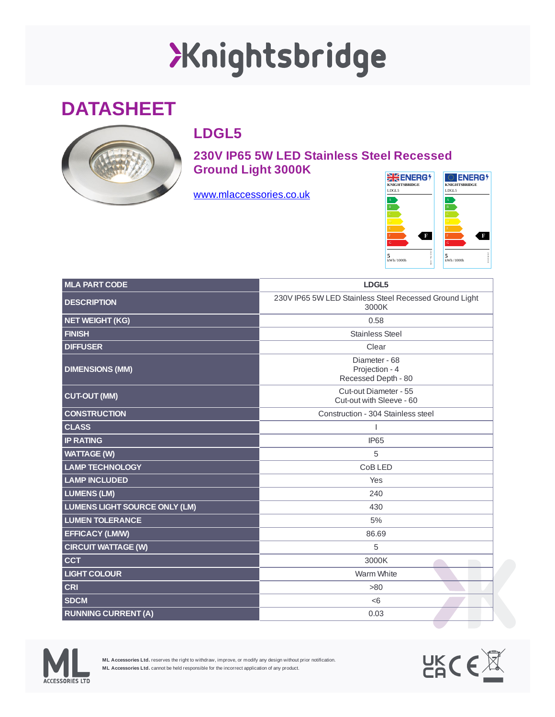## XKnightsbridge

## **DATASHEET**



## **LDGL5**

**230V IP65 5W LED Stainless Steel Recessed Ground Light 3000K**

[www.mlaccessories.co.uk](https://www.mlaccessories.co.uk/)



| <b>MLA PART CODE</b>                 | LDGL5                                                           |
|--------------------------------------|-----------------------------------------------------------------|
| <b>DESCRIPTION</b>                   | 230V IP65 5W LED Stainless Steel Recessed Ground Light<br>3000K |
| NET WEIGHT (KG)                      | 0.58                                                            |
| <b>FINISH</b>                        | <b>Stainless Steel</b>                                          |
| <b>DIFFUSER</b>                      | Clear                                                           |
| <b>DIMENSIONS (MM)</b>               | Diameter - 68<br>Projection - 4<br>Recessed Depth - 80          |
| <b>CUT-OUT (MM)</b>                  | Cut-out Diameter - 55<br>Cut-out with Sleeve - 60               |
| <b>CONSTRUCTION</b>                  | Construction - 304 Stainless steel                              |
| <b>CLASS</b>                         |                                                                 |
| <b>IP RATING</b>                     | IP <sub>65</sub>                                                |
| <b>WATTAGE (W)</b>                   | 5                                                               |
| <b>LAMP TECHNOLOGY</b>               | CoB LED                                                         |
| <b>LAMP INCLUDED</b>                 | Yes                                                             |
| <b>LUMENS (LM)</b>                   | 240                                                             |
| <b>LUMENS LIGHT SOURCE ONLY (LM)</b> | 430                                                             |
| <b>LUMEN TOLERANCE</b>               | 5%                                                              |
| <b>EFFICACY (LM/W)</b>               | 86.69                                                           |
| <b>CIRCUIT WATTAGE (W)</b>           | 5                                                               |
| <b>CCT</b>                           | 3000K                                                           |
| <b>LIGHT COLOUR</b>                  | Warm White                                                      |
| <b>CRI</b>                           | >80                                                             |
| <b>SDCM</b>                          | < 6                                                             |
| <b>RUNNING CURRENT (A)</b>           | 0.03                                                            |



**ML Accessories Ltd.** reserves the right to withdraw, improve, or modify any design without prior notification. **ML Accessories Ltd.** cannot be held responsible for the incorrect application of any product.